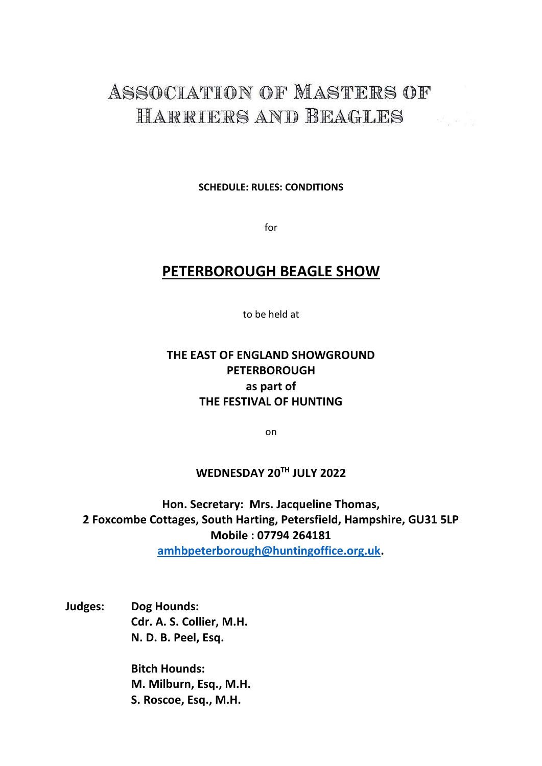# ASSOCIATION OF MASTERS OF HARRIERS AND BEAGLES

**SCHEDULE: RULES: CONDITIONS**

for

## **PETERBOROUGH BEAGLE SHOW**

to be held at

### **THE EAST OF ENGLAND SHOWGROUND PETERBOROUGH as part of THE FESTIVAL OF HUNTING**

on

#### **WEDNESDAY 20TH JULY 2022**

**Hon. Secretary: Mrs. Jacqueline Thomas, 2 Foxcombe Cottages, South Harting, Petersfield, Hampshire, GU31 5LP Mobile : 07794 264181 [amhbpeterborough@huntingoffice.org.uk.](mailto:amhbpeterborough@huntingoffice.org.uk)** 

**Judges: Dog Hounds: Cdr. A. S. Collier, M.H. N. D. B. Peel, Esq.**

> **Bitch Hounds: M. Milburn, Esq., M.H. S. Roscoe, Esq., M.H.**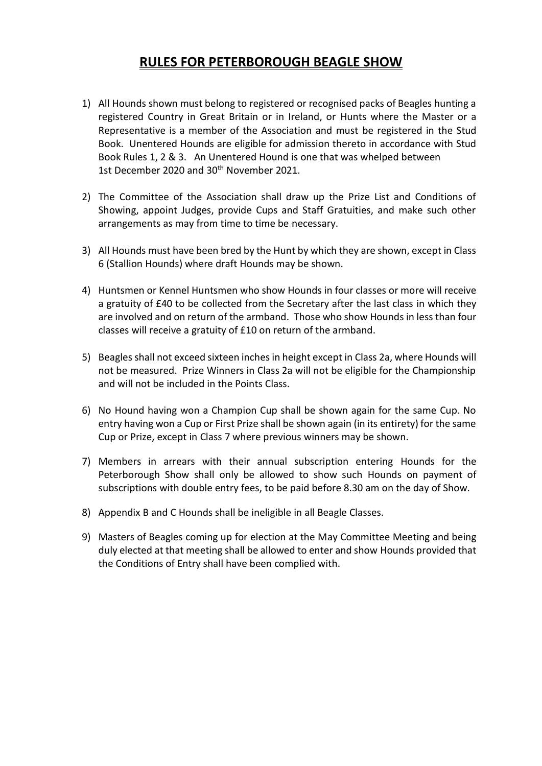### **RULES FOR PETERBOROUGH BEAGLE SHOW**

- 1) All Hounds shown must belong to registered or recognised packs of Beagles hunting a registered Country in Great Britain or in Ireland, or Hunts where the Master or a Representative is a member of the Association and must be registered in the Stud Book. Unentered Hounds are eligible for admission thereto in accordance with Stud Book Rules 1, 2 & 3. An Unentered Hound is one that was whelped between 1st December 2020 and 30<sup>th</sup> November 2021.
- 2) The Committee of the Association shall draw up the Prize List and Conditions of Showing, appoint Judges, provide Cups and Staff Gratuities, and make such other arrangements as may from time to time be necessary.
- 3) All Hounds must have been bred by the Hunt by which they are shown, except in Class 6 (Stallion Hounds) where draft Hounds may be shown.
- 4) Huntsmen or Kennel Huntsmen who show Hounds in four classes or more will receive a gratuity of £40 to be collected from the Secretary after the last class in which they are involved and on return of the armband. Those who show Hounds in less than four classes will receive a gratuity of £10 on return of the armband.
- 5) Beagles shall not exceed sixteen inches in height except in Class 2a, where Hounds will not be measured. Prize Winners in Class 2a will not be eligible for the Championship and will not be included in the Points Class.
- 6) No Hound having won a Champion Cup shall be shown again for the same Cup. No entry having won a Cup or First Prize shall be shown again (in its entirety) for the same Cup or Prize, except in Class 7 where previous winners may be shown.
- 7) Members in arrears with their annual subscription entering Hounds for the Peterborough Show shall only be allowed to show such Hounds on payment of subscriptions with double entry fees, to be paid before 8.30 am on the day of Show.
- 8) Appendix B and C Hounds shall be ineligible in all Beagle Classes.
- 9) Masters of Beagles coming up for election at the May Committee Meeting and being duly elected at that meeting shall be allowed to enter and show Hounds provided that the Conditions of Entry shall have been complied with.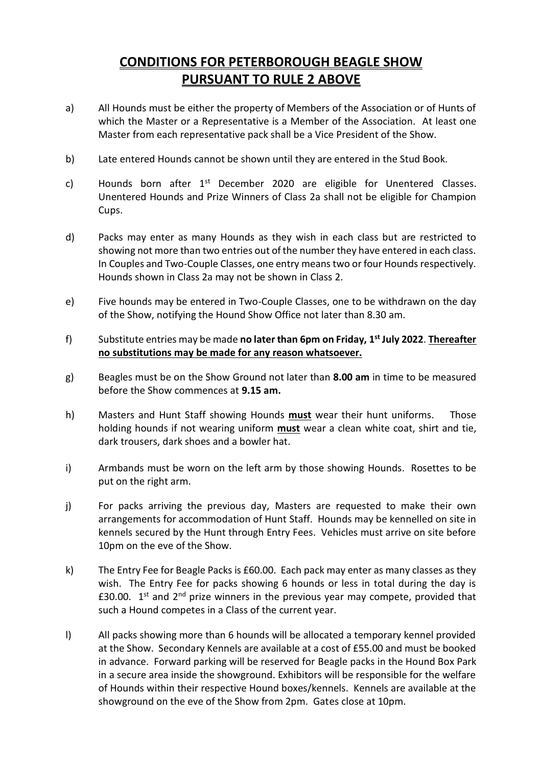# **CONDITIONS FOR PETERBOROUGH BEAGLE SHOW PURSUANT TO RULE 2 ABOVE**

- a) All Hounds must be either the property of Members of the Association or of Hunts of which the Master or a Representative is a Member of the Association. At least one Master from each representative pack shall be a Vice President of the Show.
- b) Late entered Hounds cannot be shown until they are entered in the Stud Book.
- c) Hounds born after 1<sup>st</sup> December 2020 are eligible for Unentered Classes. Unentered Hounds and Prize Winners of Class 2a shall not be eligible for Champion Cups.
- d) Packs may enter as many Hounds as they wish in each class but are restricted to showing not more than two entries out of the number they have entered in each class. In Couples and Two-Couple Classes, one entry means two or four Hounds respectively. Hounds shown in Class 2a may not be shown in Class 2.
- e) Five hounds may be entered in Two-Couple Classes, one to be withdrawn on the day of the Show, notifying the Hound Show Office not later than 8.30 am.
- f) Substitute entries may be made **no later than 6pm on Friday, 1 st July 2022**. **Thereafter no substitutions may be made for any reason whatsoever.**
- g) Beagles must be on the Show Ground not later than **8.00 am** in time to be measured before the Show commences at **9.15 am.**
- h) Masters and Hunt Staff showing Hounds **must** wear their hunt uniforms. Those holding hounds if not wearing uniform **must** wear a clean white coat, shirt and tie, dark trousers, dark shoes and a bowler hat.
- i) Armbands must be worn on the left arm by those showing Hounds. Rosettes to be put on the right arm.
- j) For packs arriving the previous day, Masters are requested to make their own arrangements for accommodation of Hunt Staff. Hounds may be kennelled on site in kennels secured by the Hunt through Entry Fees. Vehicles must arrive on site before 10pm on the eve of the Show.
- k) The Entry Fee for Beagle Packs is £60.00. Each pack may enter as many classes as they wish. The Entry Fee for packs showing 6 hounds or less in total during the day is £30.00.  $1^{st}$  and  $2^{nd}$  prize winners in the previous year may compete, provided that such a Hound competes in a Class of the current year.
- l) All packs showing more than 6 hounds will be allocated a temporary kennel provided at the Show. Secondary Kennels are available at a cost of £55.00 and must be booked in advance. Forward parking will be reserved for Beagle packs in the Hound Box Park in a secure area inside the showground. Exhibitors will be responsible for the welfare of Hounds within their respective Hound boxes/kennels. Kennels are available at the showground on the eve of the Show from 2pm. Gates close at 10pm.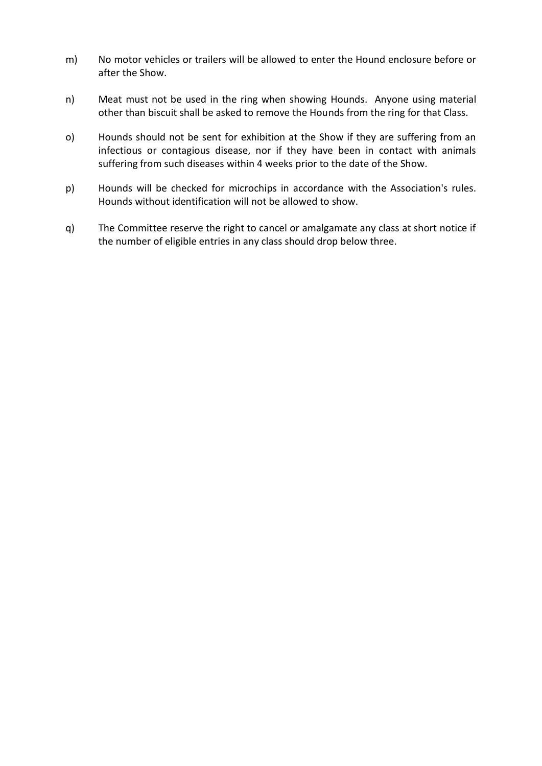- m) No motor vehicles or trailers will be allowed to enter the Hound enclosure before or after the Show.
- n) Meat must not be used in the ring when showing Hounds. Anyone using material other than biscuit shall be asked to remove the Hounds from the ring for that Class.
- o) Hounds should not be sent for exhibition at the Show if they are suffering from an infectious or contagious disease, nor if they have been in contact with animals suffering from such diseases within 4 weeks prior to the date of the Show.
- p) Hounds will be checked for microchips in accordance with the Association's rules. Hounds without identification will not be allowed to show.
- q) The Committee reserve the right to cancel or amalgamate any class at short notice if the number of eligible entries in any class should drop below three.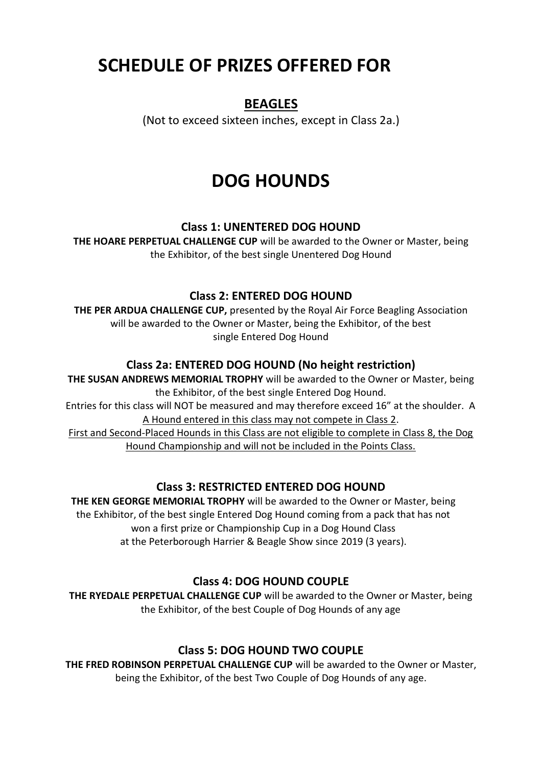# **SCHEDULE OF PRIZES OFFERED FOR**

## **BEAGLES**

(Not to exceed sixteen inches, except in Class 2a.)

# **DOG HOUNDS**

#### **Class 1: UNENTERED DOG HOUND**

**THE HOARE PERPETUAL CHALLENGE CUP** will be awarded to the Owner or Master, being the Exhibitor, of the best single Unentered Dog Hound

#### **Class 2: ENTERED DOG HOUND**

**THE PER ARDUA CHALLENGE CUP,** presented by the Royal Air Force Beagling Association will be awarded to the Owner or Master, being the Exhibitor, of the best single Entered Dog Hound

#### **Class 2a: ENTERED DOG HOUND (No height restriction)**

**THE SUSAN ANDREWS MEMORIAL TROPHY** will be awarded to the Owner or Master, being the Exhibitor, of the best single Entered Dog Hound.

Entries for this class will NOT be measured and may therefore exceed 16" at the shoulder. A A Hound entered in this class may not compete in Class 2.

First and Second-Placed Hounds in this Class are not eligible to complete in Class 8, the Dog Hound Championship and will not be included in the Points Class.

#### **Class 3: RESTRICTED ENTERED DOG HOUND**

**THE KEN GEORGE MEMORIAL TROPHY** will be awarded to the Owner or Master, being the Exhibitor, of the best single Entered Dog Hound coming from a pack that has not won a first prize or Championship Cup in a Dog Hound Class at the Peterborough Harrier & Beagle Show since 2019 (3 years).

#### **Class 4: DOG HOUND COUPLE**

**THE RYEDALE PERPETUAL CHALLENGE CUP** will be awarded to the Owner or Master, being the Exhibitor, of the best Couple of Dog Hounds of any age

#### **Class 5: DOG HOUND TWO COUPLE**

**THE FRED ROBINSON PERPETUAL CHALLENGE CUP** will be awarded to the Owner or Master, being the Exhibitor, of the best Two Couple of Dog Hounds of any age.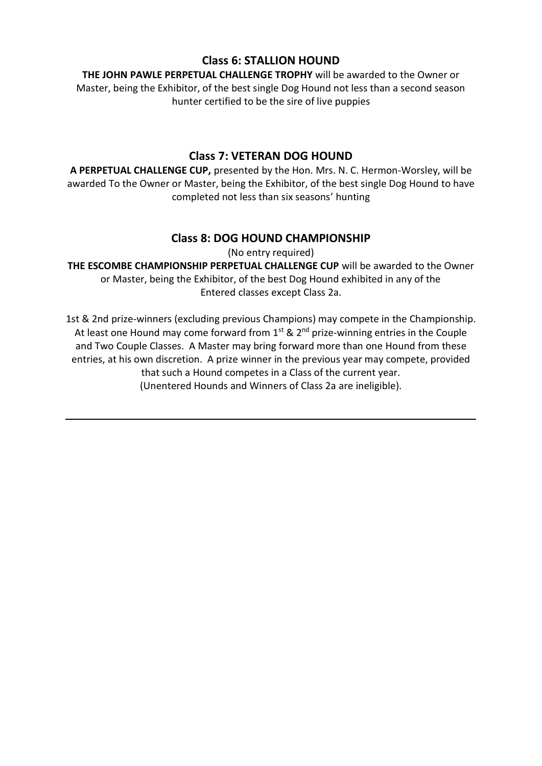#### **Class 6: STALLION HOUND**

**THE JOHN PAWLE PERPETUAL CHALLENGE TROPHY** will be awarded to the Owner or Master, being the Exhibitor, of the best single Dog Hound not less than a second season hunter certified to be the sire of live puppies

#### **Class 7: VETERAN DOG HOUND**

**A PERPETUAL CHALLENGE CUP,** presented by the Hon. Mrs. N. C. Hermon-Worsley, will be awarded To the Owner or Master, being the Exhibitor, of the best single Dog Hound to have completed not less than six seasons' hunting

#### **Class 8: DOG HOUND CHAMPIONSHIP**

(No entry required)

**THE ESCOMBE CHAMPIONSHIP PERPETUAL CHALLENGE CUP** will be awarded to the Owner or Master, being the Exhibitor, of the best Dog Hound exhibited in any of the Entered classes except Class 2a.

1st & 2nd prize-winners (excluding previous Champions) may compete in the Championship. At least one Hound may come forward from  $1^{st}$  &  $2^{nd}$  prize-winning entries in the Couple and Two Couple Classes. A Master may bring forward more than one Hound from these entries, at his own discretion. A prize winner in the previous year may compete, provided that such a Hound competes in a Class of the current year. (Unentered Hounds and Winners of Class 2a are ineligible).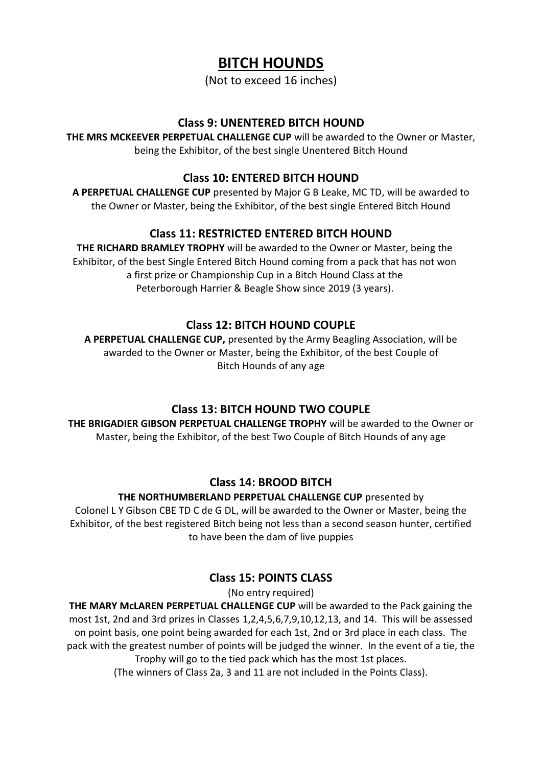# **BITCH HOUNDS**

(Not to exceed 16 inches)

#### **Class 9: UNENTERED BITCH HOUND**

**THE MRS MCKEEVER PERPETUAL CHALLENGE CUP** will be awarded to the Owner or Master, being the Exhibitor, of the best single Unentered Bitch Hound

#### **Class 10: ENTERED BITCH HOUND**

**A PERPETUAL CHALLENGE CUP** presented by Major G B Leake, MC TD, will be awarded to the Owner or Master, being the Exhibitor, of the best single Entered Bitch Hound

### **Class 11: RESTRICTED ENTERED BITCH HOUND**

**THE RICHARD BRAMLEY TROPHY** will be awarded to the Owner or Master, being the Exhibitor, of the best Single Entered Bitch Hound coming from a pack that has not won a first prize or Championship Cup in a Bitch Hound Class at the Peterborough Harrier & Beagle Show since 2019 (3 years).

#### **Class 12: BITCH HOUND COUPLE**

**A PERPETUAL CHALLENGE CUP,** presented by the Army Beagling Association, will be awarded to the Owner or Master, being the Exhibitor, of the best Couple of Bitch Hounds of any age

#### **Class 13: BITCH HOUND TWO COUPLE**

**THE BRIGADIER GIBSON PERPETUAL CHALLENGE TROPHY** will be awarded to the Owner or Master, being the Exhibitor, of the best Two Couple of Bitch Hounds of any age

#### **Class 14: BROOD BITCH**

#### **THE NORTHUMBERLAND PERPETUAL CHALLENGE CUP** presented by

Colonel L Y Gibson CBE TD C de G DL, will be awarded to the Owner or Master, being the Exhibitor, of the best registered Bitch being not less than a second season hunter, certified to have been the dam of live puppies

#### **Class 15: POINTS CLASS**

(No entry required)

**THE MARY McLAREN PERPETUAL CHALLENGE CUP** will be awarded to the Pack gaining the most 1st, 2nd and 3rd prizes in Classes 1,2,4,5,6,7,9,10,12,13, and 14. This will be assessed on point basis, one point being awarded for each 1st, 2nd or 3rd place in each class. The pack with the greatest number of points will be judged the winner. In the event of a tie, the Trophy will go to the tied pack which has the most 1st places. (The winners of Class 2a, 3 and 11 are not included in the Points Class).